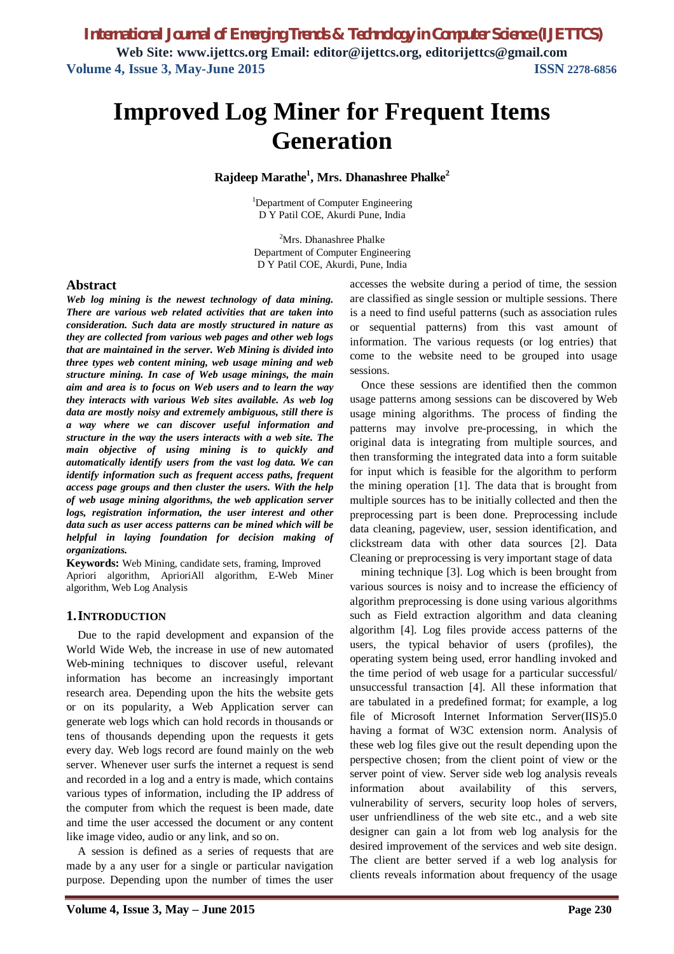# **Improved Log Miner for Frequent Items Generation**

**Rajdeep Marathe<sup>1</sup> , Mrs. Dhanashree Phalke<sup>2</sup>**

<sup>1</sup>Department of Computer Engineering D Y Patil COE, Akurdi Pune, India

<sup>2</sup>Mrs. Dhanashree Phalke Department of Computer Engineering D Y Patil COE, Akurdi, Pune, India

### **Abstract**

*Web log mining is the newest technology of data mining. There are various web related activities that are taken into consideration. Such data are mostly structured in nature as they are collected from various web pages and other web logs that are maintained in the server. Web Mining is divided into three types web content mining, web usage mining and web structure mining. In case of Web usage minings, the main aim and area is to focus on Web users and to learn the way they interacts with various Web sites available. As web log data are mostly noisy and extremely ambiguous, still there is a way where we can discover useful information and structure in the way the users interacts with a web site. The main objective of using mining is to quickly and automatically identify users from the vast log data. We can identify information such as frequent access paths, frequent access page groups and then cluster the users. With the help of web usage mining algorithms, the web application server*  logs, registration information, the user interest and other *data such as user access patterns can be mined which will be helpful in laying foundation for decision making of organizations.* 

**Keywords:** Web Mining, candidate sets, framing, Improved Apriori algorithm, AprioriAll algorithm, E-Web Miner algorithm, Web Log Analysis

### **1.INTRODUCTION**

Due to the rapid development and expansion of the World Wide Web, the increase in use of new automated Web-mining techniques to discover useful, relevant information has become an increasingly important research area. Depending upon the hits the website gets or on its popularity, a Web Application server can generate web logs which can hold records in thousands or tens of thousands depending upon the requests it gets every day. Web logs record are found mainly on the web server. Whenever user surfs the internet a request is send and recorded in a log and a entry is made, which contains various types of information, including the IP address of the computer from which the request is been made, date and time the user accessed the document or any content like image video, audio or any link, and so on.

A session is defined as a series of requests that are made by a any user for a single or particular navigation purpose. Depending upon the number of times the user

accesses the website during a period of time, the session are classified as single session or multiple sessions. There is a need to find useful patterns (such as association rules or sequential patterns) from this vast amount of information. The various requests (or log entries) that come to the website need to be grouped into usage sessions.

Once these sessions are identified then the common usage patterns among sessions can be discovered by Web usage mining algorithms. The process of finding the patterns may involve pre-processing, in which the original data is integrating from multiple sources, and then transforming the integrated data into a form suitable for input which is feasible for the algorithm to perform the mining operation [1]. The data that is brought from multiple sources has to be initially collected and then the preprocessing part is been done. Preprocessing include data cleaning, pageview, user, session identification, and clickstream data with other data sources [2]. Data Cleaning or preprocessing is very important stage of data

mining technique [3]. Log which is been brought from various sources is noisy and to increase the efficiency of algorithm preprocessing is done using various algorithms such as Field extraction algorithm and data cleaning algorithm [4]. Log files provide access patterns of the users, the typical behavior of users (profiles), the operating system being used, error handling invoked and the time period of web usage for a particular successful/ unsuccessful transaction [4]. All these information that are tabulated in a predefined format; for example, a log file of Microsoft Internet Information Server(IIS)5.0 having a format of W3C extension norm. Analysis of these web log files give out the result depending upon the perspective chosen; from the client point of view or the server point of view. Server side web log analysis reveals information about availability of this servers, vulnerability of servers, security loop holes of servers, user unfriendliness of the web site etc., and a web site designer can gain a lot from web log analysis for the desired improvement of the services and web site design. The client are better served if a web log analysis for clients reveals information about frequency of the usage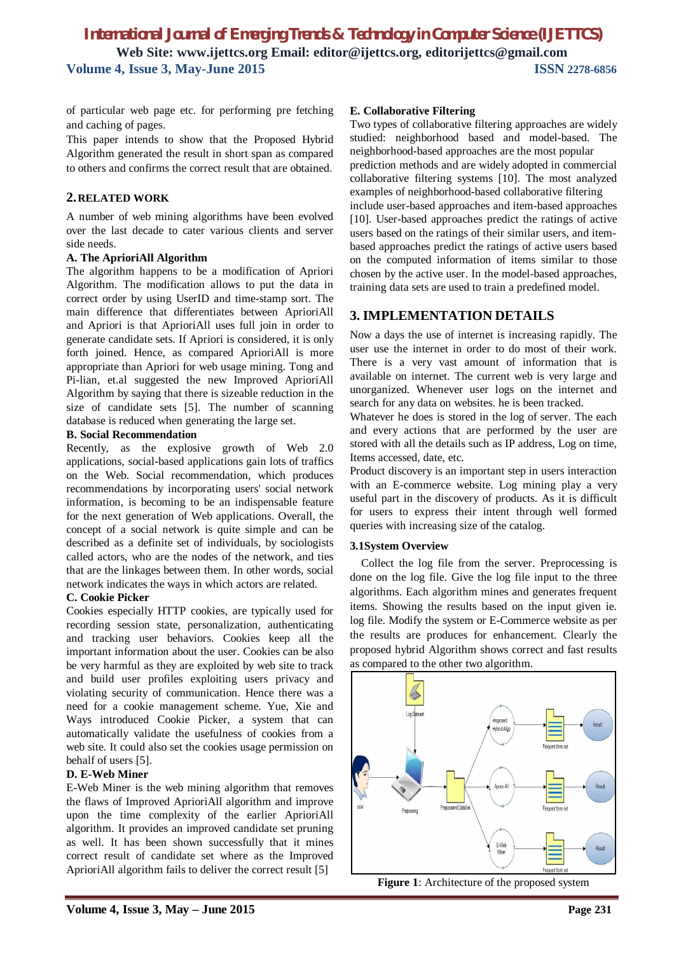of particular web page etc. for performing pre fetching and caching of pages.

This paper intends to show that the Proposed Hybrid Algorithm generated the result in short span as compared to others and confirms the correct result that are obtained.

### **2.RELATED WORK**

A number of web mining algorithms have been evolved over the last decade to cater various clients and server side needs.

### **A. The AprioriAll Algorithm**

The algorithm happens to be a modification of Apriori Algorithm. The modification allows to put the data in correct order by using UserID and time-stamp sort. The main difference that differentiates between AprioriAll and Apriori is that AprioriAll uses full join in order to generate candidate sets. If Apriori is considered, it is only forth joined. Hence, as compared AprioriAll is more appropriate than Apriori for web usage mining. Tong and Pi-lian, et.al suggested the new Improved AprioriAll Algorithm by saying that there is sizeable reduction in the size of candidate sets [5]. The number of scanning database is reduced when generating the large set.

### **B. Social Recommendation**

Recently, as the explosive growth of Web 2.0 applications, social-based applications gain lots of traffics on the Web. Social recommendation, which produces recommendations by incorporating users' social network information, is becoming to be an indispensable feature for the next generation of Web applications. Overall, the concept of a social network is quite simple and can be described as a definite set of individuals, by sociologists called actors, who are the nodes of the network, and ties that are the linkages between them. In other words, social network indicates the ways in which actors are related.

### **C. Cookie Picker**

Cookies especially HTTP cookies, are typically used for recording session state, personalization, authenticating and tracking user behaviors. Cookies keep all the important information about the user. Cookies can be also be very harmful as they are exploited by web site to track and build user profiles exploiting users privacy and violating security of communication. Hence there was a need for a cookie management scheme. Yue, Xie and Ways introduced Cookie Picker, a system that can automatically validate the usefulness of cookies from a web site. It could also set the cookies usage permission on behalf of users [5].

### **D. E-Web Miner**

E-Web Miner is the web mining algorithm that removes the flaws of Improved AprioriAll algorithm and improve upon the time complexity of the earlier AprioriAll algorithm. It provides an improved candidate set pruning as well. It has been shown successfully that it mines correct result of candidate set where as the Improved AprioriAll algorithm fails to deliver the correct result [5]

### **E. Collaborative Filtering**

Two types of collaborative filtering approaches are widely studied: neighborhood based and model-based. The neighborhood-based approaches are the most popular prediction methods and are widely adopted in commercial collaborative filtering systems [10]. The most analyzed examples of neighborhood-based collaborative filtering include user-based approaches and item-based approaches [10]. User-based approaches predict the ratings of active users based on the ratings of their similar users, and itembased approaches predict the ratings of active users based on the computed information of items similar to those chosen by the active user. In the model-based approaches, training data sets are used to train a predefined model.

# **3. IMPLEMENTATION DETAILS**

Now a days the use of internet is increasing rapidly. The user use the internet in order to do most of their work. There is a very vast amount of information that is available on internet. The current web is very large and unorganized. Whenever user logs on the internet and search for any data on websites. he is been tracked.

Whatever he does is stored in the log of server. The each and every actions that are performed by the user are stored with all the details such as IP address, Log on time, Items accessed, date, etc.

Product discovery is an important step in users interaction with an E-commerce website. Log mining play a very useful part in the discovery of products. As it is difficult for users to express their intent through well formed queries with increasing size of the catalog.

### **3.1System Overview**

Collect the log file from the server. Preprocessing is done on the log file. Give the log file input to the three algorithms. Each algorithm mines and generates frequent items. Showing the results based on the input given ie. log file. Modify the system or E-Commerce website as per the results are produces for enhancement. Clearly the proposed hybrid Algorithm shows correct and fast results as compared to the other two algorithm.



**Figure 1**: Architecture of the proposed system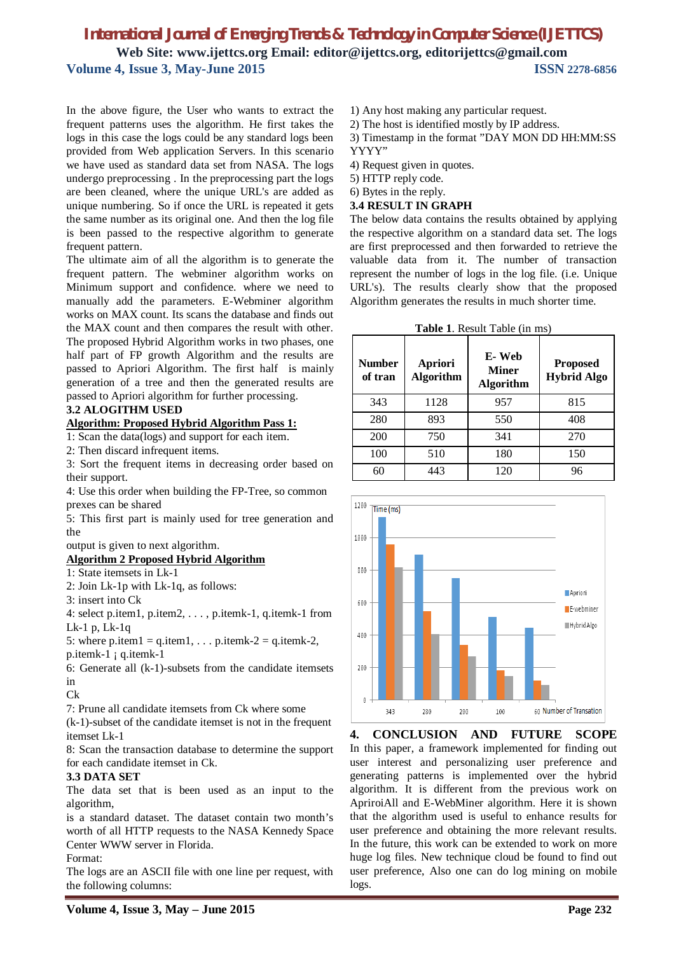In the above figure, the User who wants to extract the frequent patterns uses the algorithm. He first takes the logs in this case the logs could be any standard logs been provided from Web application Servers. In this scenario we have used as standard data set from NASA. The logs undergo preprocessing . In the preprocessing part the logs are been cleaned, where the unique URL's are added as unique numbering. So if once the URL is repeated it gets the same number as its original one. And then the log file is been passed to the respective algorithm to generate frequent pattern.

The ultimate aim of all the algorithm is to generate the frequent pattern. The webminer algorithm works on Minimum support and confidence. where we need to manually add the parameters. E-Webminer algorithm works on MAX count. Its scans the database and finds out the MAX count and then compares the result with other. The proposed Hybrid Algorithm works in two phases, one half part of FP growth Algorithm and the results are passed to Apriori Algorithm. The first half is mainly generation of a tree and then the generated results are passed to Apriori algorithm for further processing.

### **3.2 ALOGITHM USED**

### **Algorithm: Proposed Hybrid Algorithm Pass 1:**

1: Scan the data(logs) and support for each item.

2: Then discard infrequent items.

3: Sort the frequent items in decreasing order based on their support.

4: Use this order when building the FP-Tree, so common prexes can be shared

5: This first part is mainly used for tree generation and the

output is given to next algorithm.

### **Algorithm 2 Proposed Hybrid Algorithm**

1: State itemsets in Lk-1

2: Join Lk-1p with Lk-1q, as follows:

3: insert into Ck

4: select p.item1, p.item2, . . . , p.itemk-1, q.itemk-1 from Lk-1 p, Lk-1q

5: where p.item1 =  $q$ .item1, ... p.itemk-2 =  $q$ .itemk-2, p.itemk-1 ¡ q.itemk-1

6: Generate all (k-1)-subsets from the candidate itemsets in

Ck

7: Prune all candidate itemsets from Ck where some

(k-1)-subset of the candidate itemset is not in the frequent itemset Lk-1

8: Scan the transaction database to determine the support for each candidate itemset in Ck.

### **3.3 DATA SET**

The data set that is been used as an input to the algorithm,

is a standard dataset. The dataset contain two month's worth of all HTTP requests to the NASA Kennedy Space Center WWW server in Florida.

#### Format:

The logs are an ASCII file with one line per request, with the following columns:

- 1) Any host making any particular request.
- 2) The host is identified mostly by IP address.

3) Timestamp in the format "DAY MON DD HH:MM:SS YYYY"

4) Request given in quotes.

5) HTTP reply code.

6) Bytes in the reply.

#### **3.4 RESULT IN GRAPH**

The below data contains the results obtained by applying the respective algorithm on a standard data set. The logs are first preprocessed and then forwarded to retrieve the valuable data from it. The number of transaction represent the number of logs in the log file. (i.e. Unique URL's). The results clearly show that the proposed Algorithm generates the results in much shorter time.

|  |  | Table 1. Result Table (in ms) |  |  |  |
|--|--|-------------------------------|--|--|--|
|--|--|-------------------------------|--|--|--|

| <b>Number</b><br>of tran | <b>Apriori</b><br><b>Algorithm</b> | E-Web<br><b>Miner</b><br><b>Algorithm</b> | <b>Proposed</b><br><b>Hybrid Algo</b> |
|--------------------------|------------------------------------|-------------------------------------------|---------------------------------------|
| 343                      | 1128                               | 957                                       | 815                                   |
| 280                      | 893                                | 550                                       | 408                                   |
| 200                      | 750                                | 341                                       | 270                                   |
| 100                      | 510                                | 180                                       | 150                                   |
| 60                       | 443                                | 120                                       | 96                                    |



**4. CONCLUSION AND FUTURE SCOPE** In this paper, a framework implemented for finding out user interest and personalizing user preference and generating patterns is implemented over the hybrid algorithm. It is different from the previous work on ApriroiAll and E-WebMiner algorithm. Here it is shown that the algorithm used is useful to enhance results for user preference and obtaining the more relevant results. In the future, this work can be extended to work on more huge log files. New technique cloud be found to find out user preference, Also one can do log mining on mobile logs.